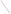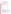# **Consumer Factsheet on: TRICHLOROETHYLENE**

## [List of Contaminants](http://www.epa.gov/safewater/hfacts.html)

 As part of the Drinking Water and Health pages, this fact sheet is part of a larger publication: **National Primary Drinking Water Regulations** 

 States Environmental Protection Agency (EPA). This is a factsheet about a chemical that may be found in some public or private drinking water supplies. It may cause health problems if found in amounts greater than the health standard set by the United

## **What is Trichloroethylene and how is it used?**

Trichloroethylene is a colorless or blue organic liquid with a chloroform-like odor. The greatest use of trichloroethylene is to remove grease from fabricated metal parts and some textiles.

 The list of trade names given below may help you find out whether you are using this chemical at home or work.

## **Trade Names and Synonyms:**

1,1,2-Trichloroethylene Acetylene trichloroethylene Algylen Anameth Benzinol Chlorilen **CirCosolv Germalgene Lethurin** Perm-a-chlor Petzinol Philex TRI-Plus M Vitran

#### **Why is Trichloroethylene being Regulated?**

 based solely on possible health risks and exposure, are called Maximum Contaminant Level Goals. In 1974, Congress passed the Safe Drinking Water Act. This law requires EPA to determine safe levels of chemicals in drinking water which do or may cause health problems. These non-enforceable levels,

The MCLG for trichloroethylene has been set at zero because EPA believes this level of protection would not cause any of the potential health problems described below.

 Based on this MCLG, EPA has set an enforceable standard called a Maximum Contaminant Level (MCL). MCLs are set as close to the MCLGs as possible, considering the ability of public water systems to detect and remove contaminants using suitable treatment technologies.

 contaminant should it occur in drinking water. The MCL has been set at 5 parts per billion (ppb) because EPA believes, given present technology and resources, this is the lowest level to which water systems can reasonably be required to remove this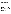These drinking water standards and the regulations for ensuring these standards are met, are called National Primary Drinking Water Regulations. All public water supplies must abide by these regulations.

## **What are the Health Effects?**

Some people who drink water containing trichloroethylene in excess of the MCL over many years could experience problems with their liver and may have an increased risk of getting cancer.

#### **How much Trichloroethylene is produced and released to the environment?**

 1991. Major environmental releases of trichloroethylene are due to air emissions from metal degreasing Production of trichloroethylene has increased from just over 260,000 lbs. in 1981 to 320 million lbs. in plants. Wastewater from metal finishing, paint and ink formulation, electrical/electronic components, and rubber processing industries also may contain trichloroethylene.

 From 1987 to 1993, according to the Toxics Release Inventory, trichloroethylene releases to water and occurred in West Virginia. land totalled over 291,000 lbs. These releases were primarily from steel pipe and tube manufacturing industries. The largest releases occurred in Pennsylvania and Illinois. The largest direct releases to water

## **What happens to Trichloroethylene when it is released to the environment?**

 Trichloroethylene released to soil will either evaporate or leach into ground water. If released to water, it will also quickly evaporate. It has only a moderate potential to accumulate in aquatic life.

## **How will Trichloroethylene be Detected in and Removed from My Drinking Water?**

The regulation for trichloroethylene became effective in 1989. Between 1993 and 1995, EPA required your water supplier to collect water samples every 3 months for one year and analyze them to find out if TCE is present above 0.5 ppb. If it is present above this level, the system must continue to monitor this contaminant until the system has taken immediate steps to remediate the problem or the State has determined that the contaminant will remain reliably and consistently below the MCL.

If contaminant levels are found to be consistently above the MCL, your water supplier must take steps to reduce the amount of TCE so that it is consistently below that level. The following treatment methods have been approved by EPA for removing TCE: Granular activated carbon in combination with Packed Tower Aeration.

#### **How will I know if Trichloroethylene is in my drinking water?**

 If the levels of trichloroethylene exceed the MCL, 5 ppb, the system must notify the public via newspapers, radio, TV and other means. Additional actions, such as providing alternative drinking water supplies, may be required to prevent serious risks to public health.

#### **Drinking Water Standards:**

Mclg: zero<br>Mcl: 5 ppb

Mcl: 5 ppb

#### **Trichloroethylene Releases to Water and Land, 1987 to 1993 (in pounds):**